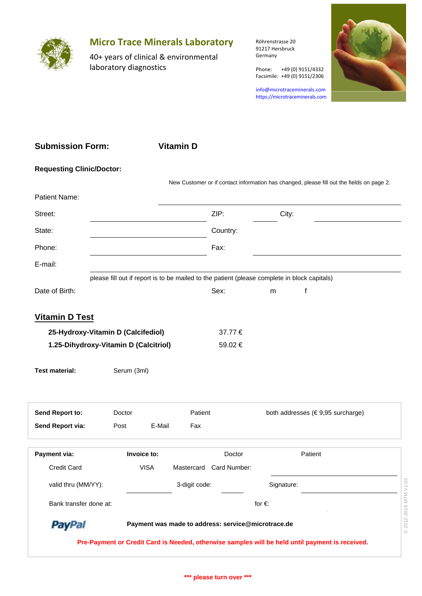

## **Micro Trace Minerals Laboratory**

40+ years of clinical & environmental laboratory diagnostics

Röhrenstrasse 20 91217 Hersbruck Germany

Phone: +49 (0) 9151/4332 Facsimile: +49 (0) 9151/2306

info@microtraceminerals.com <https://microtraceminerals.com>



| <b>Submission Form:</b>               |             |             | <b>Vitamin D</b> |                                                    |                                                                                              |                                                                                                 |                       |
|---------------------------------------|-------------|-------------|------------------|----------------------------------------------------|----------------------------------------------------------------------------------------------|-------------------------------------------------------------------------------------------------|-----------------------|
| <b>Requesting Clinic/Doctor:</b>      |             |             |                  |                                                    |                                                                                              |                                                                                                 |                       |
|                                       |             |             |                  |                                                    |                                                                                              | New Customer or if contact information has changed, please fill out the fields on page 2.       |                       |
| Patient Name:                         |             |             |                  |                                                    |                                                                                              |                                                                                                 |                       |
| Street:                               |             |             |                  | ZIP:                                               | City:                                                                                        |                                                                                                 |                       |
| State:                                |             |             |                  | Country:                                           |                                                                                              |                                                                                                 |                       |
| Phone:                                |             |             |                  | Fax:                                               |                                                                                              |                                                                                                 |                       |
| E-mail:                               |             |             |                  |                                                    |                                                                                              |                                                                                                 |                       |
|                                       |             |             |                  |                                                    | please fill out if report is to be mailed to the patient (please complete in block capitals) |                                                                                                 |                       |
| Date of Birth:                        |             |             |                  | Sex:                                               | f<br>m                                                                                       |                                                                                                 |                       |
| <b>Vitamin D Test</b>                 |             |             |                  |                                                    |                                                                                              |                                                                                                 |                       |
| 25-Hydroxy-Vitamin D (Calcifediol)    |             |             |                  | 37.77€                                             |                                                                                              |                                                                                                 |                       |
| 1.25-Dihydroxy-Vitamin D (Calcitriol) |             |             |                  | 59.02€                                             |                                                                                              |                                                                                                 |                       |
|                                       |             |             |                  |                                                    |                                                                                              |                                                                                                 |                       |
| <b>Test material:</b>                 | Serum (3ml) |             |                  |                                                    |                                                                                              |                                                                                                 |                       |
|                                       |             |             |                  |                                                    |                                                                                              |                                                                                                 |                       |
| Send Report to:                       | Doctor      |             | Patient          |                                                    |                                                                                              | both addresses (€9,95 surcharge)                                                                |                       |
| Send Report via:                      | Post        | E-Mail      | Fax              |                                                    |                                                                                              |                                                                                                 |                       |
| Payment via:                          | Invoice to: |             |                  | Doctor                                             |                                                                                              | Patient                                                                                         |                       |
| Credit Card                           |             | <b>VISA</b> |                  | Mastercard Card Number:                            |                                                                                              |                                                                                                 |                       |
| valid thru (MM/YY):                   |             |             | 3-digit code:    |                                                    | Signature:                                                                                   |                                                                                                 |                       |
|                                       |             |             |                  |                                                    |                                                                                              |                                                                                                 |                       |
| Bank transfer done at:                |             |             |                  |                                                    | for $\in$                                                                                    |                                                                                                 |                       |
| <b>PayPal</b>                         |             |             |                  | Payment was made to address: service@microtrace.de |                                                                                              |                                                                                                 | © 2012-2019 MTM V1.03 |
|                                       |             |             |                  |                                                    |                                                                                              | Pre-Payment or Credit Card is Needed, otherwise samples will be held until payment is received. |                       |